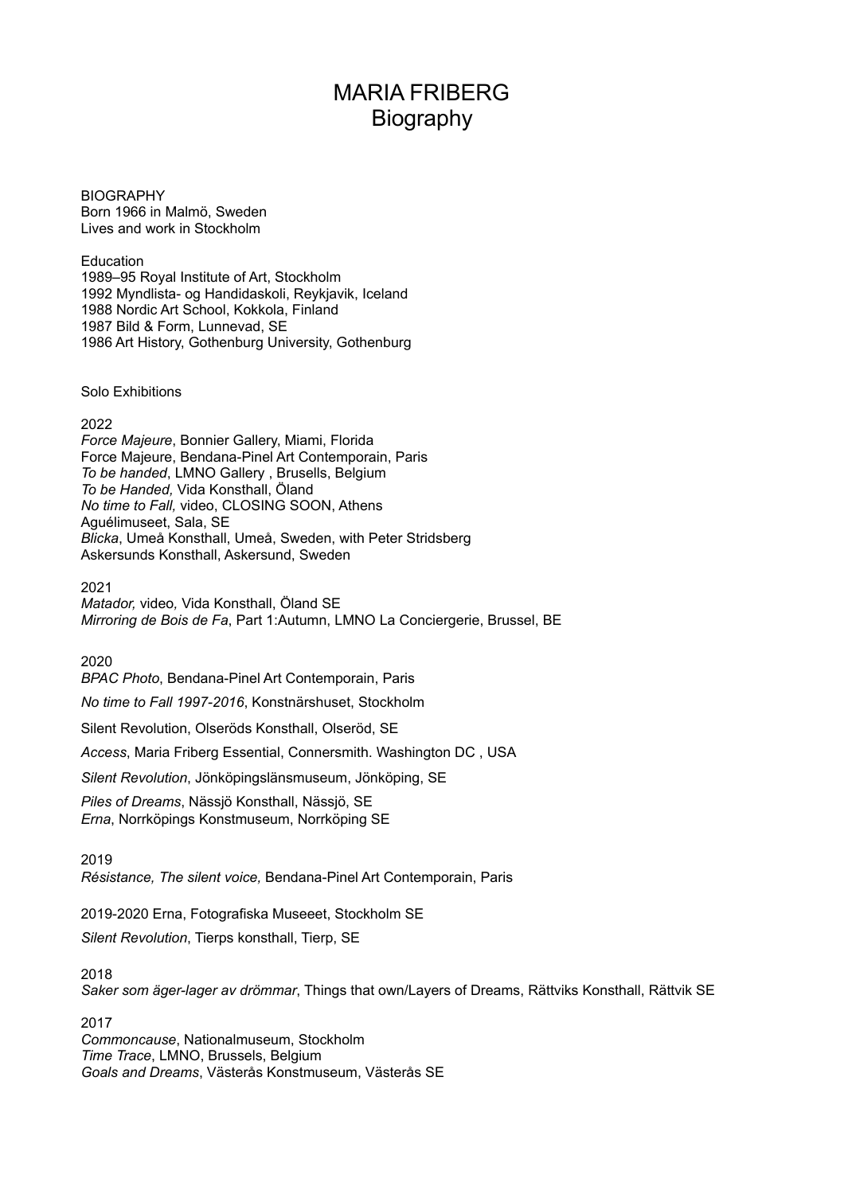# MARIA FRIBERG Biography

**BIOGRAPHY** Born 1966 in Malmö, Sweden Lives and work in Stockholm

Education 1989–95 Royal Institute of Art, Stockholm 1992 Myndlista- og Handidaskoli, Reykjavik, Iceland 1988 Nordic Art School, Kokkola, Finland 1987 Bild & Form, Lunnevad, SE 1986 Art History, Gothenburg University, Gothenburg

Solo Exhibitions

# 2022

*Force Majeure*, Bonnier Gallery, Miami, Florida Force Majeure, Bendana-Pinel Art Contemporain, Paris *To be handed*, LMNO Gallery , Brusells, Belgium *To be Handed,* Vida Konsthall, Öland *No time to Fall,* video, CLOSING SOON, Athens Aguélimuseet, Sala, SE *Blicka*, Umeå Konsthall, Umeå, Sweden, with Peter Stridsberg Askersunds Konsthall, Askersund, Sweden

2021

*Matador,* video*,* Vida Konsthall, Öland SE *Mirroring de Bois de Fa*, Part 1:Autumn, LMNO La Conciergerie, Brussel, BE

2020

*BPAC Photo*, Bendana-Pinel Art Contemporain, Paris

*No time to Fall 1997-2016*, Konstnärshuset, Stockholm

Silent Revolution, Olseröds Konsthall, Olseröd, SE

*Access*, Maria Friberg Essential, Connersmith. Washington DC , USA

*Silent Revolution*, Jönköpingslänsmuseum, Jönköping, SE

*Piles of Dreams*, Nässjö Konsthall, Nässjö, SE *Erna*, Norrköpings Konstmuseum, Norrköping SE

2019

*Résistance, The silent voice,* Bendana-Pinel Art Contemporain, Paris

2019-2020 Erna, Fotografiska Museeet, Stockholm SE

*Silent Revolution*, Tierps konsthall, Tierp, SE

2018

*Saker som äger-lager av drömmar*, Things that own/Layers of Dreams, Rättviks Konsthall, Rättvik SE

2017 *Commoncause*, Nationalmuseum, Stockholm *Time Trace*, LMNO, Brussels, Belgium *Goals and Dreams*, Västerås Konstmuseum, Västerås SE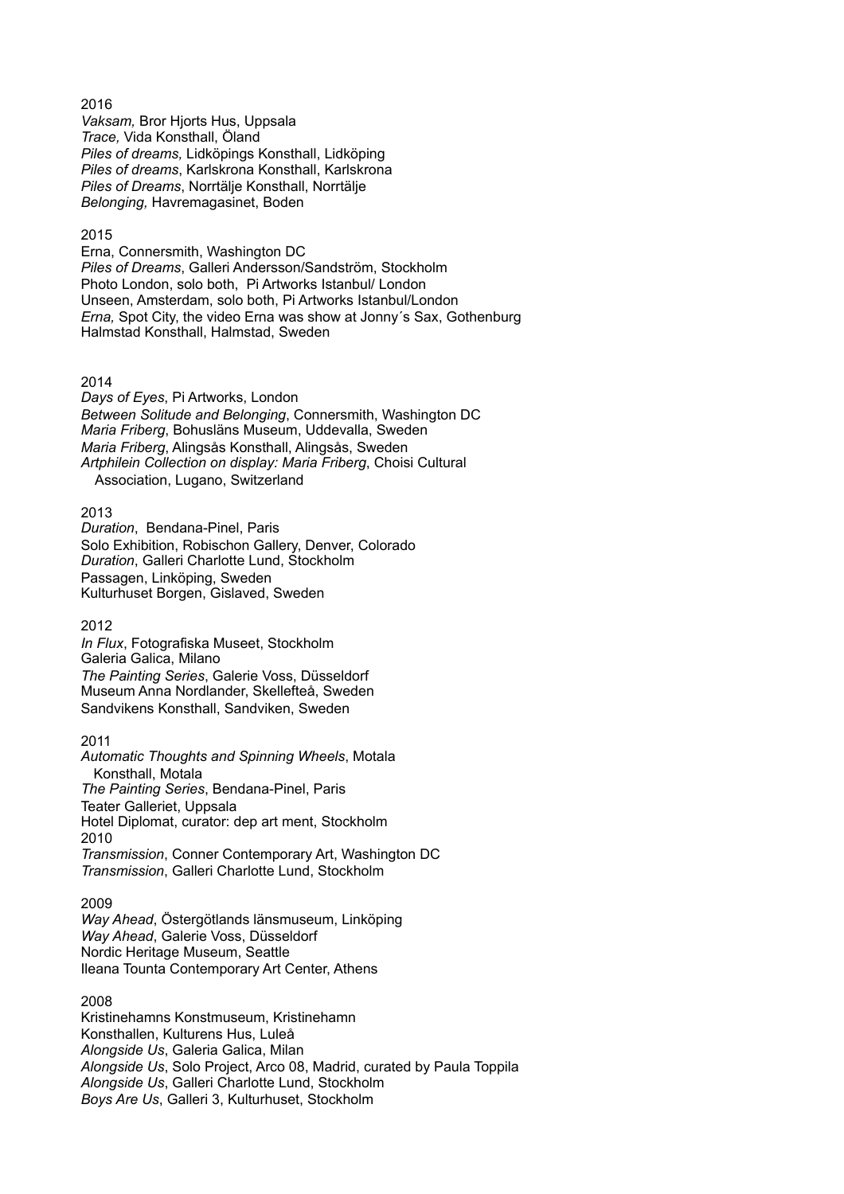*Vaksam,* Bror Hjorts Hus, Uppsala *Trace,* Vida Konsthall, Öland *Piles of dreams,* Lidköpings Konsthall, Lidköping *Piles of dreams*, Karlskrona Konsthall, Karlskrona *Piles of Dreams*, Norrtälje Konsthall, Norrtälje *Belonging,* Havremagasinet, Boden

## 2015

Erna, Connersmith, Washington DC *Piles of Dreams*, Galleri Andersson/Sandström, Stockholm Photo London, solo both, Pi Artworks Istanbul/ London Unseen, Amsterdam, solo both, Pi Artworks Istanbul/London *Erna,* Spot City, the video Erna was show at Jonny´s Sax, Gothenburg Halmstad Konsthall, Halmstad, Sweden

#### 2014

*Days of Eyes*, Pi Artworks, London *Between Solitude and Belonging*, Connersmith, Washington DC *Maria Friberg*, Bohusläns Museum, Uddevalla, Sweden *Maria Friberg*, Alingsås Konsthall, Alingsås, Sweden *Artphilein Collection on display: Maria Friberg*, Choisi Cultural Association, Lugano, Switzerland

#### 2013

*Duration*, Bendana-Pinel, Paris Solo Exhibition, Robischon Gallery, Denver, Colorado *Duration*, Galleri Charlotte Lund, Stockholm Passagen, Linköping, Sweden Kulturhuset Borgen, Gislaved, Sweden

## 2012

*In Flux*, Fotografiska Museet, Stockholm Galeria Galica, Milano *The Painting Series*, Galerie Voss, Düsseldorf Museum Anna Nordlander, Skellefteå, Sweden Sandvikens Konsthall, Sandviken, Sweden

#### 2011

*Automatic Thoughts and Spinning Wheels*, Motala Konsthall, Motala *The Painting Series*, Bendana-Pinel, Paris Teater Galleriet, Uppsala Hotel Diplomat, curator: dep art ment, Stockholm 2010 *Transmission*, Conner Contemporary Art, Washington DC *Transmission*, Galleri Charlotte Lund, Stockholm

## 2009

*Way Ahead*, Östergötlands länsmuseum, Linköping *Way Ahead*, Galerie Voss, Düsseldorf Nordic Heritage Museum, Seattle Ileana Tounta Contemporary Art Center, Athens

## 2008

Kristinehamns Konstmuseum, Kristinehamn Konsthallen, Kulturens Hus, Luleå *Alongside Us*, Galeria Galica, Milan *Alongside Us*, Solo Project, Arco 08, Madrid, curated by Paula Toppila *Alongside Us*, Galleri Charlotte Lund, Stockholm *Boys Are Us*, Galleri 3, Kulturhuset, Stockholm

# 2016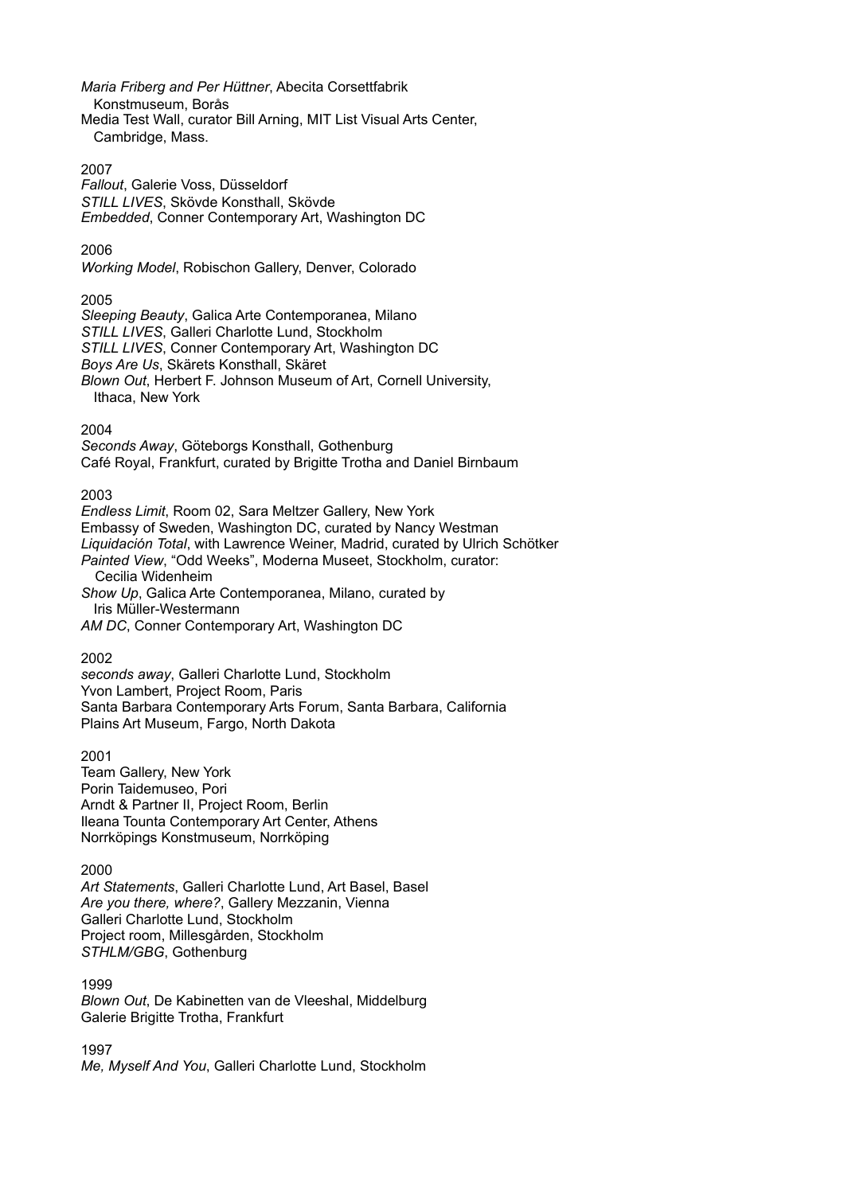*Maria Friberg and Per Hüttner*, Abecita Corsettfabrik

- Konstmuseum, Borås
- Media Test Wall, curator Bill Arning, MIT List Visual Arts Center, Cambridge, Mass.

# 2007

*Fallout*, Galerie Voss, Düsseldorf *STILL LIVES*, Skövde Konsthall, Skövde *Embedded*, Conner Contemporary Art, Washington DC

# 2006

*Working Model*, Robischon Gallery, Denver, Colorado

# 2005

*Sleeping Beauty*, Galica Arte Contemporanea, Milano *STILL LIVES*, Galleri Charlotte Lund, Stockholm *STILL LIVES*, Conner Contemporary Art, Washington DC *Boys Are Us*, Skärets Konsthall, Skäret

*Blown Out*, Herbert F. Johnson Museum of Art, Cornell University, Ithaca, New York

# 2004

*Seconds Away*, Göteborgs Konsthall, Gothenburg Café Royal, Frankfurt, curated by Brigitte Trotha and Daniel Birnbaum

# 2003

*Endless Limit*, Room 02, Sara Meltzer Gallery, New York Embassy of Sweden, Washington DC, curated by Nancy Westman *Liquidación Total*, with Lawrence Weiner, Madrid, curated by Ulrich Schötker *Painted View*, "Odd Weeks", Moderna Museet, Stockholm, curator: Cecilia Widenheim *Show Up*, Galica Arte Contemporanea, Milano, curated by Iris Müller-Westermann

*AM DC*, Conner Contemporary Art, Washington DC

# 2002

*seconds away*, Galleri Charlotte Lund, Stockholm Yvon Lambert, Project Room, Paris Santa Barbara Contemporary Arts Forum, Santa Barbara, California Plains Art Museum, Fargo, North Dakota

2001

Team Gallery, New York Porin Taidemuseo, Pori Arndt & Partner II, Project Room, Berlin Ileana Tounta Contemporary Art Center, Athens Norrköpings Konstmuseum, Norrköping

# 2000

*Art Statements*, Galleri Charlotte Lund, Art Basel, Basel *Are you there, where?*, Gallery Mezzanin, Vienna Galleri Charlotte Lund, Stockholm Project room, Millesgården, Stockholm *STHLM/GBG*, Gothenburg

1999 *Blown Out*, De Kabinetten van de Vleeshal, Middelburg Galerie Brigitte Trotha, Frankfurt

1997 *Me, Myself And You*, Galleri Charlotte Lund, Stockholm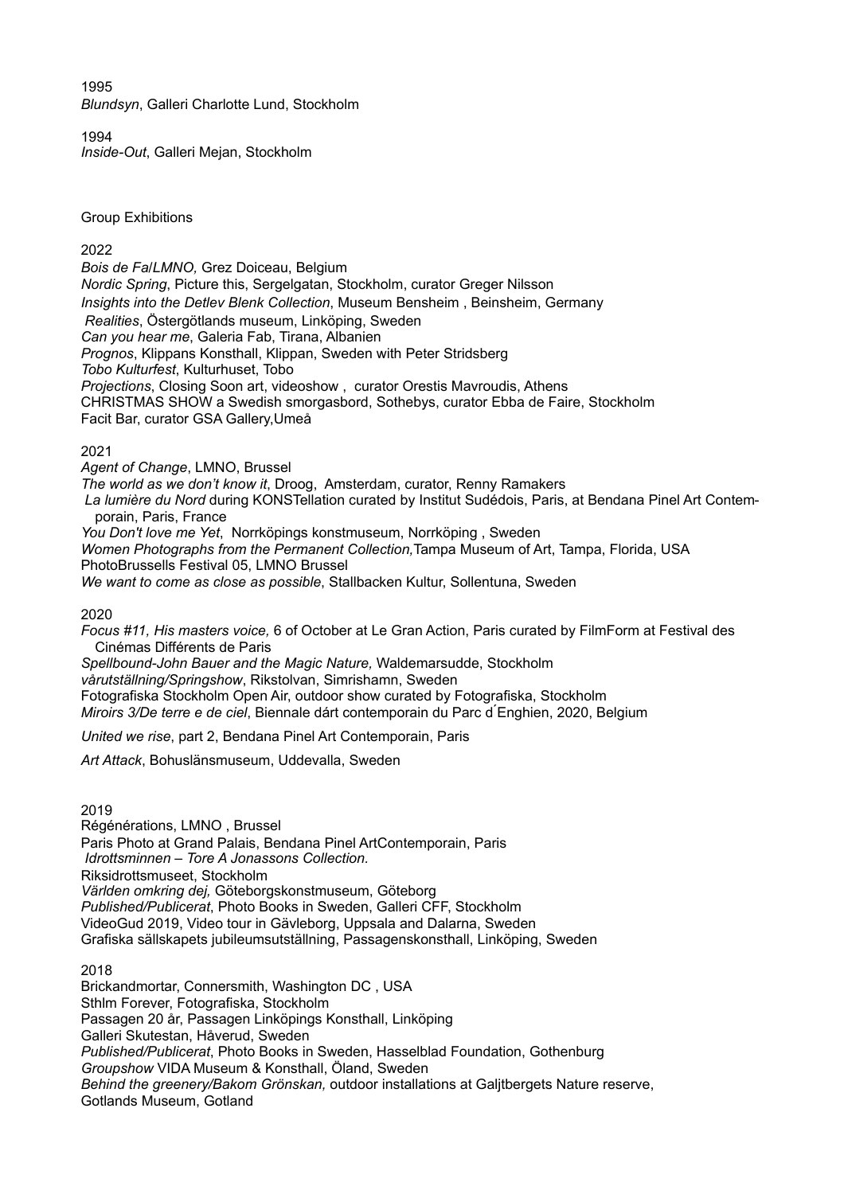1995 *Blundsyn*, Galleri Charlotte Lund, Stockholm

1994 *Inside-Out*, Galleri Mejan, Stockholm

Group Exhibitions

# 2022

*Bois de Fa/LMNO,* Grez Doiceau, Belgium *Nordic Spring*, Picture this, Sergelgatan, Stockholm, curator Greger Nilsson *Insights into the Detlev Blenk Collection*, Museum Bensheim , Beinsheim, Germany  *Realities*, Östergötlands museum, Linköping, Sweden *Can you hear me*, Galeria Fab, Tirana, Albanien *Prognos*, Klippans Konsthall, Klippan, Sweden with Peter Stridsberg *Tobo Kulturfest*, Kulturhuset, Tobo *Projections*, Closing Soon art, videoshow , curator Orestis Mavroudis, Athens CHRISTMAS SHOW a Swedish smorgasbord, Sothebys, curator Ebba de Faire, Stockholm Facit Bar, curator GSA Gallery,Umeå

# 2021

*Agent of Change*, LMNO, Brussel *The world as we don't know it*, Droog, Amsterdam, curator, Renny Ramakers *La lumière du Nord* during KONSTellation curated by Institut Sudédois, Paris, at Bendana Pinel Art Contemporain, Paris, France *You Don't love me Yet*, Norrköpings konstmuseum, Norrköping , Sweden *Women Photographs from the Permanent Collection,*Tampa Museum of Art, Tampa, Florida, USA PhotoBrussells Festival 05, LMNO Brussel *We want to come as close as possible*, Stallbacken Kultur, Sollentuna, Sweden

2020

*Focus #11, His masters voice,* 6 of October at Le Gran Action, Paris curated by FilmForm at Festival des Cinémas Différents de Paris

*Spellbound-John Bauer and the Magic Nature,* Waldemarsudde, Stockholm *vårutställning/Springshow*, Rikstolvan, Simrishamn, Sweden Fotografiska Stockholm Open Air, outdoor show curated by Fotografiska, Stockholm *Miroirs 3/De terre e de ciel*, Biennale dárt contemporain du Parc d ́Enghien, 2020, Belgium

*United we rise*, part 2, Bendana Pinel Art Contemporain, Paris

*Art Attack*, Bohuslänsmuseum, Uddevalla, Sweden

2019

Régénérations, LMNO , Brussel Paris Photo at Grand Palais, Bendana Pinel ArtContemporain, Paris *Idrottsminnen – Tore A Jonassons Collection.* Riksidrottsmuseet, Stockholm *Världen omkring dej,* Göteborgskonstmuseum, Göteborg *Published/Publicerat*, Photo Books in Sweden, Galleri CFF, Stockholm VideoGud 2019, Video tour in Gävleborg, Uppsala and Dalarna, Sweden Grafiska sällskapets jubileumsutställning, Passagenskonsthall, Linköping, Sweden

2018 Brickandmortar, Connersmith, Washington DC , USA Sthlm Forever, Fotografiska, Stockholm Passagen 20 år, Passagen Linköpings Konsthall, Linköping Galleri Skutestan, Håverud, Sweden *Published/Publicerat*, Photo Books in Sweden, Hasselblad Foundation, Gothenburg *Groupshow* VIDA Museum & Konsthall, Öland, Sweden *Behind the greenery/Bakom Grönskan,* outdoor installations at Galjtbergets Nature reserve, Gotlands Museum, Gotland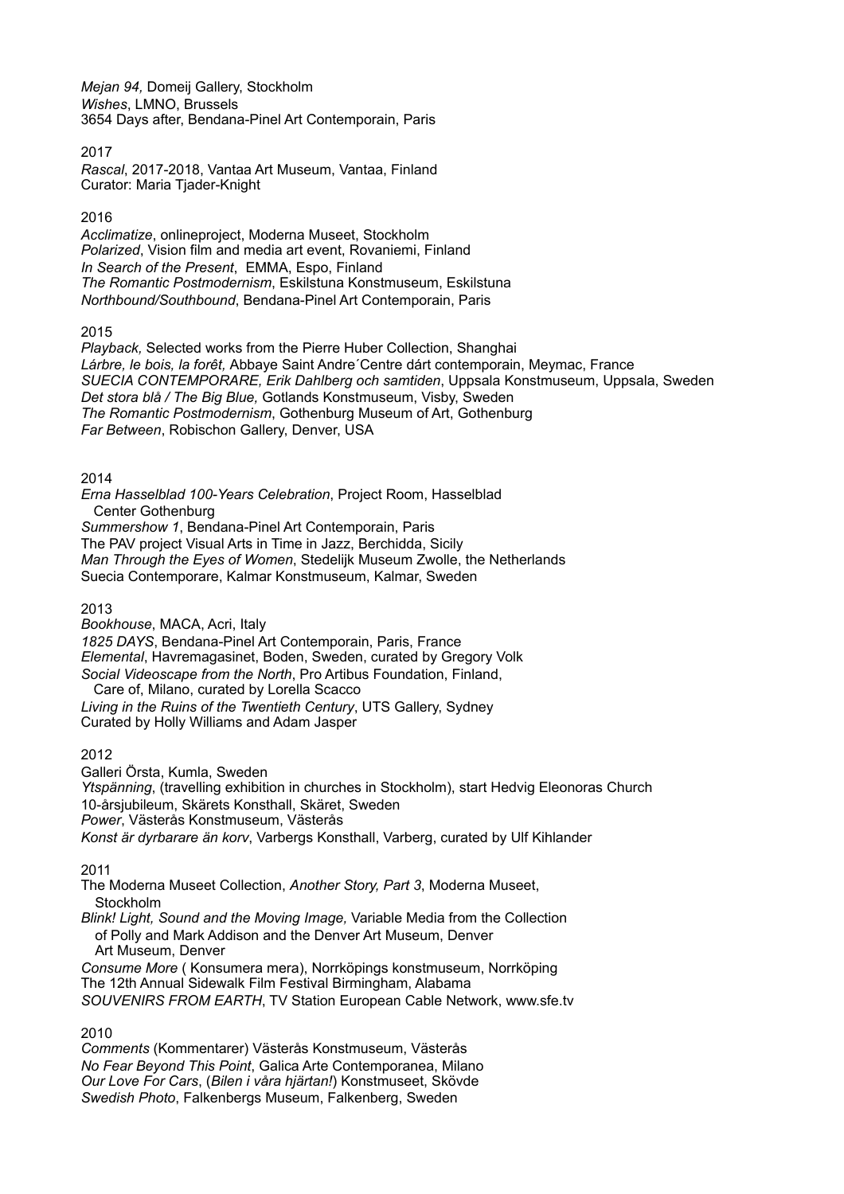*Mejan 94,* Domeij Gallery, Stockholm *Wishes*, LMNO, Brussels 3654 Days after, Bendana-Pinel Art Contemporain, Paris

# 2017

*Rascal*, 2017-2018, Vantaa Art Museum, Vantaa, Finland Curator: Maria Tjader-Knight

# 2016

*Acclimatize*, onlineproject, Moderna Museet, Stockholm *Polarized*, Vision film and media art event, Rovaniemi, Finland *In Search of the Present*, EMMA, Espo, Finland *The Romantic Postmodernism*, Eskilstuna Konstmuseum, Eskilstuna *Northbound/Southbound*, Bendana-Pinel Art Contemporain, Paris

2015

*Playback,* Selected works from the Pierre Huber Collection, Shanghai *Lárbre, le bois, la forêt,* Abbaye Saint Andre´Centre dárt contemporain, Meymac, France *SUECIA CONTEMPORARE, Erik Dahlberg och samtiden*, Uppsala Konstmuseum, Uppsala, Sweden *Det stora blå / The Big Blue,* Gotlands Konstmuseum, Visby, Sweden *The Romantic Postmodernism*, Gothenburg Museum of Art, Gothenburg *Far Between*, Robischon Gallery, Denver, USA

2014

*Erna Hasselblad 100-Years Celebration*, Project Room, Hasselblad Center Gothenburg *Summershow 1*, Bendana-Pinel Art Contemporain, Paris The PAV project Visual Arts in Time in Jazz, Berchidda, Sicily *Man Through the Eyes of Women*, Stedelijk Museum Zwolle, the Netherlands Suecia Contemporare, Kalmar Konstmuseum, Kalmar, Sweden

2013

*Bookhouse*, MACA, Acri, Italy *1825 DAYS*, Bendana-Pinel Art Contemporain, Paris, France *Elemental*, Havremagasinet, Boden, Sweden, curated by Gregory Volk *Social Videoscape from the North*, Pro Artibus Foundation, Finland, Care of, Milano, curated by Lorella Scacco *Living in the Ruins of the Twentieth Century*, UTS Gallery, Sydney Curated by Holly Williams and Adam Jasper

2012

Galleri Örsta, Kumla, Sweden *Ytspänning*, (travelling exhibition in churches in Stockholm), start Hedvig Eleonoras Church 10-årsjubileum, Skärets Konsthall, Skäret, Sweden *Power*, Västerås Konstmuseum, Västerås *Konst är dyrbarare än korv*, Varbergs Konsthall, Varberg, curated by Ulf Kihlander

2011

The Moderna Museet Collection, *Another Story, Part 3*, Moderna Museet, **Stockholm** 

*Blink! Light, Sound and the Moving Image,* Variable Media from the Collection of Polly and Mark Addison and the Denver Art Museum, Denver Art Museum, Denver *Consume More* ( Konsumera mera), Norrköpings konstmuseum, Norrköping

The 12th Annual Sidewalk Film Festival Birmingham, Alabama *SOUVENIRS FROM EARTH*, TV Station European Cable Network, www.sfe.tv

2010

*Comments* (Kommentarer) Västerås Konstmuseum, Västerås *No Fear Beyond This Point*, Galica Arte Contemporanea, Milano *Our Love For Cars*, (*Bilen i våra hjärtan!*) Konstmuseet, Skövde *Swedish Photo*, Falkenbergs Museum, Falkenberg, Sweden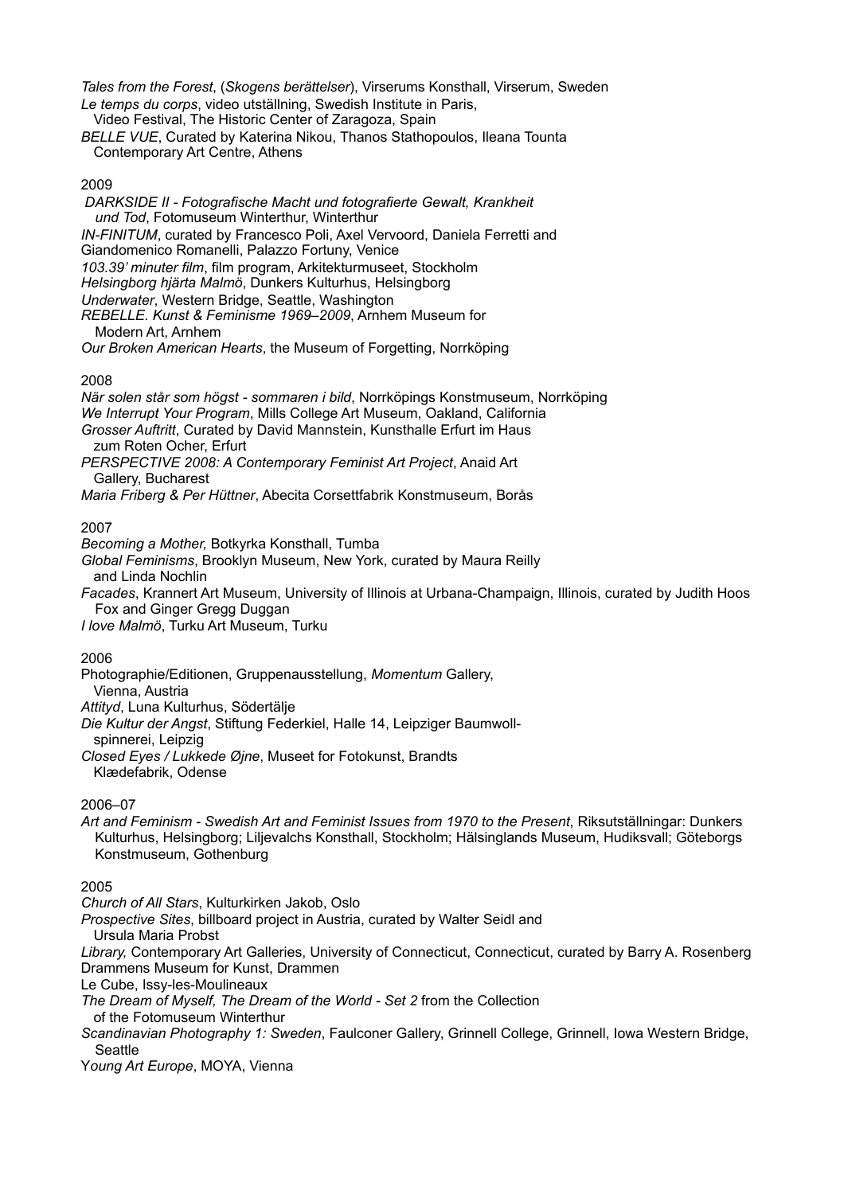*Tales from the Forest*, (*Skogens berättelser*), Virserums Konsthall, Virserum, Sweden *Le temps du corps*, video utställning, Swedish Institute in Paris,

Video Festival, The Historic Center of Zaragoza, Spain

*BELLE VUE*, Curated by Katerina Nikou, Thanos Stathopoulos, Ileana Tounta Contemporary Art Centre, Athens

# 2009

*DARKSIDE II - Fotografische Macht und fotografierte Gewalt, Krankheit und Tod*, Fotomuseum Winterthur, Winterthur *IN-FINITUM*, curated by Francesco Poli, Axel Vervoord, Daniela Ferretti and Giandomenico Romanelli, Palazzo Fortuny, Venice *103.39' minuter film*, film program, Arkitekturmuseet, Stockholm *Helsingborg hjärta Malmö*, Dunkers Kulturhus, Helsingborg *Underwater*, Western Bridge, Seattle, Washington *REBELLE. Kunst & Feminisme 1969–2009*, Arnhem Museum for Modern Art, Arnhem *Our Broken American Hearts*, the Museum of Forgetting, Norrköping

# 2008

*När solen står som högst - sommaren i bild*, Norrköpings Konstmuseum, Norrköping *We Interrupt Your Program*, Mills College Art Museum, Oakland, California *Grosser Auftritt*, Curated by David Mannstein, Kunsthalle Erfurt im Haus zum Roten Ocher, Erfurt *PERSPECTIVE 2008: A Contemporary Feminist Art Project*, Anaid Art

Gallery, Bucharest

*Maria Friberg & Per Hüttner*, Abecita Corsettfabrik Konstmuseum, Borås

## 2007

*Becoming a Mother,* Botkyrka Konsthall, Tumba

*Global Feminisms*, Brooklyn Museum, New York, curated by Maura Reilly and Linda Nochlin

*Facades*, Krannert Art Museum, University of Illinois at Urbana-Champaign, Illinois, curated by Judith Hoos Fox and Ginger Gregg Duggan

*I love Malmö*, Turku Art Museum, Turku

# 2006

Photographie/Editionen, Gruppenausstellung, *Momentum* Gallery,

Vienna, Austria

*Attityd*, Luna Kulturhus, Södertälje *Die Kultur der Angst*, Stiftung Federkiel, Halle 14, Leipziger Baumwoll spinnerei, Leipzig

*Closed Eyes / Lukkede Øjne*, Museet for Fotokunst, Brandts Klædefabrik, Odense

# 2006–07

*Art and Feminism - Swedish Art and Feminist Issues from 1970 to the Present*, Riksutställningar: Dunkers Kulturhus, Helsingborg; Liljevalchs Konsthall, Stockholm; Hälsinglands Museum, Hudiksvall; Göteborgs Konstmuseum, Gothenburg

# 2005

*Church of All Stars*, Kulturkirken Jakob, Oslo

*Prospective Sites*, billboard project in Austria, curated by Walter Seidl and

 Ursula Maria Probst *Library,* Contemporary Art Galleries, University of Connecticut, Connecticut, curated by Barry A. Rosenberg Drammens Museum for Kunst, Drammen

Le Cube, Issy-les-Moulineaux

*The Dream of Myself, The Dream of the World - Set 2* from the Collection

of the Fotomuseum Winterthur

*Scandinavian Photography 1: Sweden*, Faulconer Gallery, Grinnell College, Grinnell, Iowa Western Bridge, **Seattle** 

Y*oung Art Europe*, MOYA, Vienna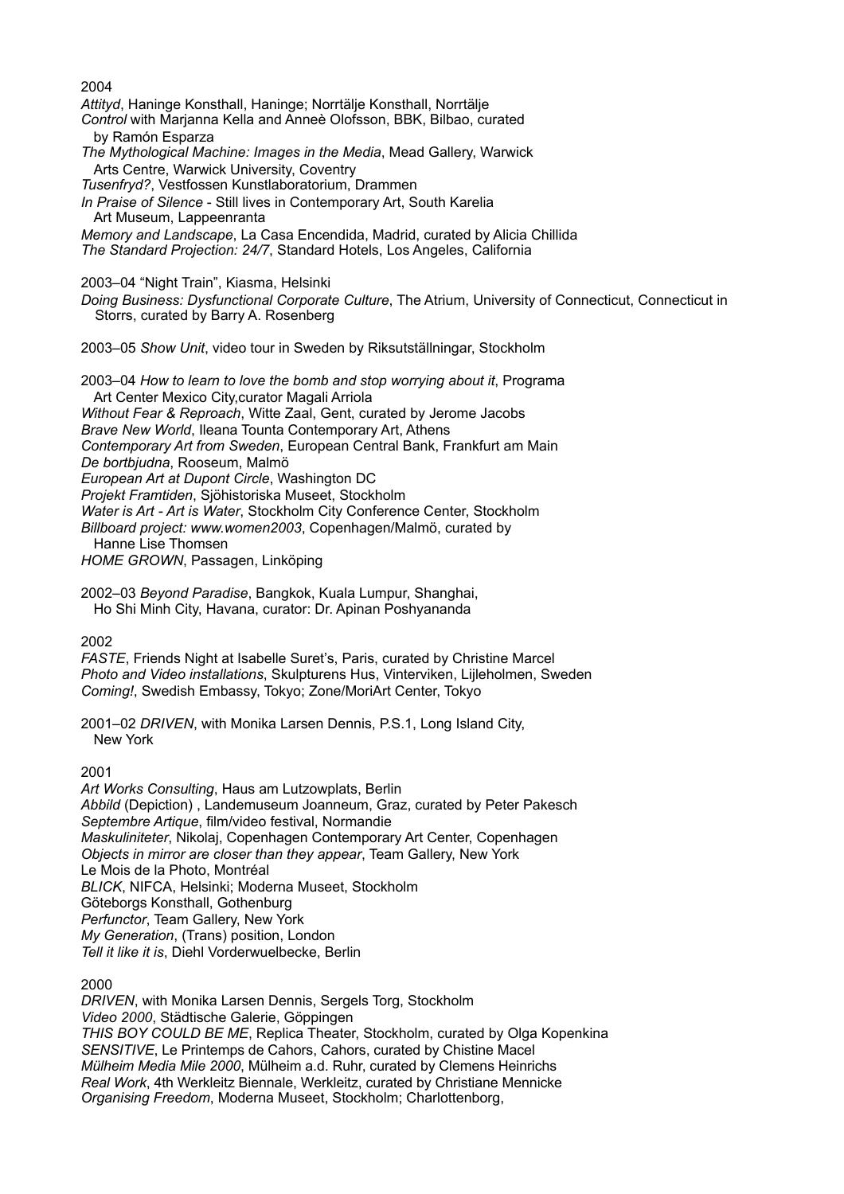2004 *Attityd*, Haninge Konsthall, Haninge; Norrtälje Konsthall, Norrtälje *Control* with Marjanna Kella and Anneè Olofsson, BBK, Bilbao, curated by Ramón Esparza *The Mythological Machine: Images in the Media*, Mead Gallery, Warwick Arts Centre, Warwick University, Coventry *Tusenfryd?*, Vestfossen Kunstlaboratorium, Drammen *In Praise of Silence* - Still lives in Contemporary Art, South Karelia Art Museum, Lappeenranta *Memory and Landscape*, La Casa Encendida, Madrid, curated by Alicia Chillida *The Standard Projection: 24/7*, Standard Hotels, Los Angeles, California 2003–04 "Night Train", Kiasma, Helsinki *Doing Business: Dysfunctional Corporate Culture*, The Atrium, University of Connecticut, Connecticut in Storrs, curated by Barry A. Rosenberg 2003–05 *Show Unit*, video tour in Sweden by Riksutställningar, Stockholm 2003–04 *How to learn to love the bomb and stop worrying about it*, Programa Art Center Mexico City,curator Magali Arriola *Without Fear & Reproach*, Witte Zaal, Gent, curated by Jerome Jacobs *Brave New World*, Ileana Tounta Contemporary Art, Athens *Contemporary Art from Sweden*, European Central Bank, Frankfurt am Main *De bortbjudna*, Rooseum, Malmö *European Art at Dupont Circle*, Washington DC *Projekt Framtiden*, Sjöhistoriska Museet, Stockholm *Water is Art - Art is Water*, Stockholm City Conference Center, Stockholm *Billboard project: www.women2003*, Copenhagen/Malmö, curated by Hanne Lise Thomsen *HOME GROWN*, Passagen, Linköping 2002–03 *Beyond Paradise*, Bangkok, Kuala Lumpur, Shanghai, Ho Shi Minh City, Havana, curator: Dr. Apinan Poshyananda 2002 *FASTE*, Friends Night at Isabelle Suret's, Paris, curated by Christine Marcel *Photo and Video installations*, Skulpturens Hus, Vinterviken, Lijleholmen, Sweden

*Coming!*, Swedish Embassy, Tokyo; Zone/MoriArt Center, Tokyo

2001–02 *DRIVEN*, with Monika Larsen Dennis, P.S.1, Long Island City, New York

2001

*Art Works Consulting*, Haus am Lutzowplats, Berlin *Abbild* (Depiction) , Landemuseum Joanneum, Graz, curated by Peter Pakesch *Septembre Artique*, film/video festival, Normandie *Maskuliniteter*, Nikolaj, Copenhagen Contemporary Art Center, Copenhagen *Objects in mirror are closer than they appear*, Team Gallery, New York Le Mois de la Photo, Montréal *BLICK*, NIFCA, Helsinki; Moderna Museet, Stockholm Göteborgs Konsthall, Gothenburg *Perfunctor*, Team Gallery, New York *My Generation*, (Trans) position, London *Tell it like it is*, Diehl Vorderwuelbecke, Berlin

2000

*DRIVEN*, with Monika Larsen Dennis, Sergels Torg, Stockholm *Video 2000*, Städtische Galerie, Göppingen *THIS BOY COULD BE ME*, Replica Theater, Stockholm, curated by Olga Kopenkina *SENSITIVE*, Le Printemps de Cahors, Cahors, curated by Chistine Macel *Mülheim Media Mile 2000*, Mülheim a.d. Ruhr, curated by Clemens Heinrichs *Real Work*, 4th Werkleitz Biennale, Werkleitz, curated by Christiane Mennicke *Organising Freedom*, Moderna Museet, Stockholm; Charlottenborg,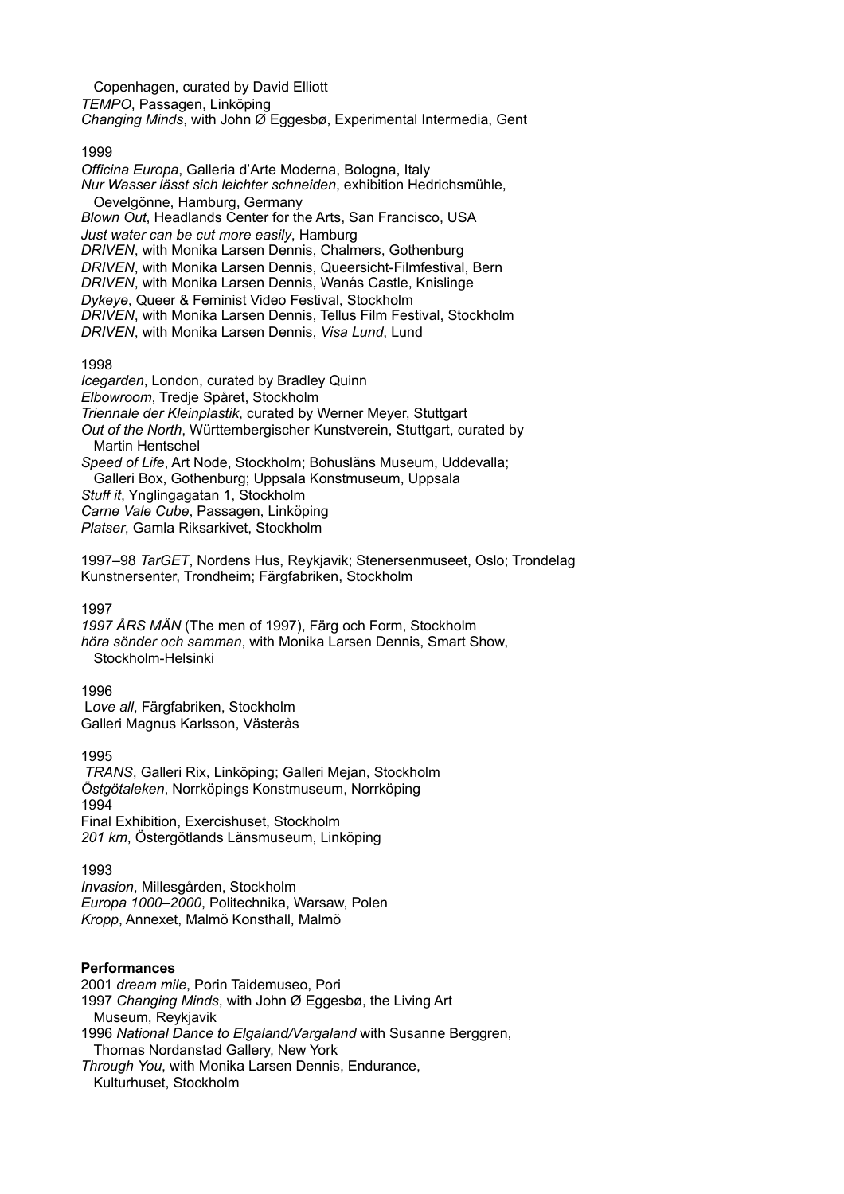Copenhagen, curated by David Elliott *TEMPO*, Passagen, Linköping *Changing Minds*, with John Ø Eggesbø, Experimental Intermedia, Gent

1999

*Officina Europa*, Galleria d'Arte Moderna, Bologna, Italy *Nur Wasser lässt sich leichter schneiden*, exhibition Hedrichsmühle, Oevelgönne, Hamburg, Germany *Blown Out*, Headlands Center for the Arts, San Francisco, USA *Just water can be cut more easily*, Hamburg *DRIVEN*, with Monika Larsen Dennis, Chalmers, Gothenburg *DRIVEN*, with Monika Larsen Dennis, Queersicht-Filmfestival, Bern *DRIVEN*, with Monika Larsen Dennis, Wanås Castle, Knislinge *Dykeye*, Queer & Feminist Video Festival, Stockholm *DRIVEN*, with Monika Larsen Dennis, Tellus Film Festival, Stockholm *DRIVEN*, with Monika Larsen Dennis, *Visa Lund*, Lund

1998

*Icegarden*, London, curated by Bradley Quinn *Elbowroom*, Tredje Spåret, Stockholm *Triennale der Kleinplastik*, curated by Werner Meyer, Stuttgart *Out of the North*, Württembergischer Kunstverein, Stuttgart, curated by Martin Hentschel *Speed of Life*, Art Node, Stockholm; Bohusläns Museum, Uddevalla; Galleri Box, Gothenburg; Uppsala Konstmuseum, Uppsala

*Stuff it*, Ynglingagatan 1, Stockholm

*Carne Vale Cube*, Passagen, Linköping

*Platser*, Gamla Riksarkivet, Stockholm

1997–98 *TarGET*, Nordens Hus, Reykjavik; Stenersenmuseet, Oslo; Trondelag Kunstnersenter, Trondheim; Färgfabriken, Stockholm

1997

*1997 ÅRS MÄN* (The men of 1997), Färg och Form, Stockholm *höra sönder och samman*, with Monika Larsen Dennis, Smart Show, Stockholm-Helsinki

1996

 L*ove all*, Färgfabriken, Stockholm Galleri Magnus Karlsson, Västerås

1995 *TRANS*, Galleri Rix, Linköping; Galleri Mejan, Stockholm *Östgötaleken*, Norrköpings Konstmuseum, Norrköping 1994 Final Exhibition, Exercishuset, Stockholm *201 km*, Östergötlands Länsmuseum, Linköping

1993

*Invasion*, Millesgården, Stockholm *Europa 1000–2000*, Politechnika, Warsaw, Polen *Kropp*, Annexet, Malmö Konsthall, Malmö

# **Performances**

2001 *dream mile*, Porin Taidemuseo, Pori 1997 *Changing Minds*, with John Ø Eggesbø, the Living Art Museum, Reykjavik 1996 *National Dance to Elgaland/Vargaland* with Susanne Berggren, Thomas Nordanstad Gallery, New York

*Through You*, with Monika Larsen Dennis, Endurance, Kulturhuset, Stockholm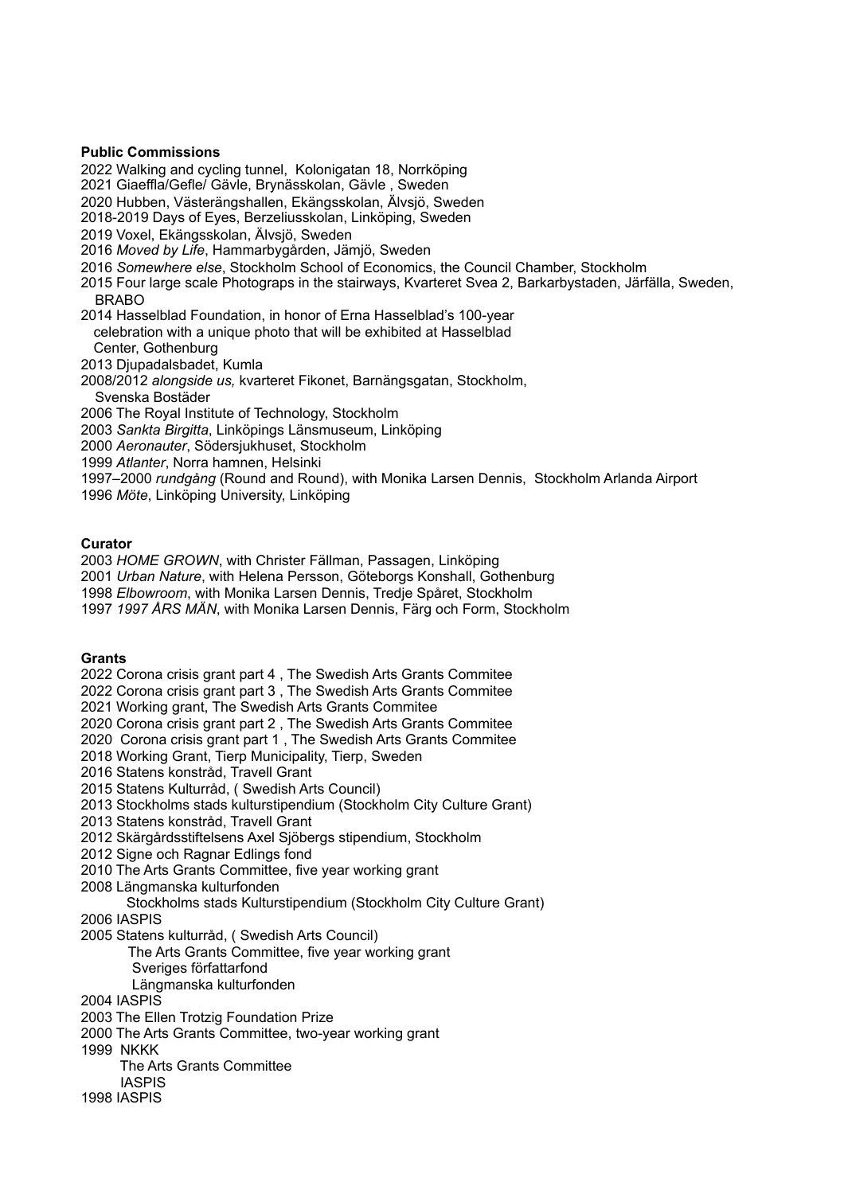# **Public Commissions**

2022 Walking and cycling tunnel, Kolonigatan 18, Norrköping

2021 Giaeffla/Gefle/ Gävle, Brynässkolan, Gävle , Sweden

2020 Hubben, Västerängshallen, Ekängsskolan, Älvsjö, Sweden

2018-2019 Days of Eyes, Berzeliusskolan, Linköping, Sweden

2019 Voxel, Ekängsskolan, Älvsjö, Sweden

2016 *Moved by Life*, Hammarbygården, Jämjö, Sweden

2016 *Somewhere else*, Stockholm School of Economics, the Council Chamber, Stockholm

2015 Four large scale Photograps in the stairways, Kvarteret Svea 2, Barkarbystaden, Järfälla, Sweden, BRABO

2014 Hasselblad Foundation, in honor of Erna Hasselblad's 100-year celebration with a unique photo that will be exhibited at Hasselblad Center, Gothenburg

2013 Djupadalsbadet, Kumla

2008/2012 *alongside us,* kvarteret Fikonet, Barnängsgatan, Stockholm,

Svenska Bostäder

2006 The Royal Institute of Technology, Stockholm

2003 *Sankta Birgitta*, Linköpings Länsmuseum, Linköping

2000 *Aeronauter*, Södersjukhuset, Stockholm

1999 *Atlanter*, Norra hamnen, Helsinki

1997–2000 *rundgång* (Round and Round), with Monika Larsen Dennis, Stockholm Arlanda Airport

1996 *Möte*, Linköping University, Linköping

## **Curator**

2003 *HOME GROWN*, with Christer Fällman, Passagen, Linköping

2001 *Urban Nature*, with Helena Persson, Göteborgs Konshall, Gothenburg

1998 *Elbowroom*, with Monika Larsen Dennis, Tredje Spåret, Stockholm

1997 *1997 ÅRS MÄN*, with Monika Larsen Dennis, Färg och Form, Stockholm

# **Grants**

2022 Corona crisis grant part 4 , The Swedish Arts Grants Commitee

2022 Corona crisis grant part 3 , The Swedish Arts Grants Commitee

2021 Working grant, The Swedish Arts Grants Commitee

2020 Corona crisis grant part 2 , The Swedish Arts Grants Commitee

2020 Corona crisis grant part 1 , The Swedish Arts Grants Commitee

2018 Working Grant, Tierp Municipality, Tierp, Sweden

2016 Statens konstråd, Travell Grant

2015 Statens Kulturråd, ( Swedish Arts Council)

2013 Stockholms stads kulturstipendium (Stockholm City Culture Grant)

2013 Statens konstråd, Travell Grant

2012 Skärgårdsstiftelsens Axel Sjöbergs stipendium, Stockholm

2012 Signe och Ragnar Edlings fond

2010 The Arts Grants Committee, five year working grant

2008 Längmanska kulturfonden

Stockholms stads Kulturstipendium (Stockholm City Culture Grant)

2006 IASPIS

2005 Statens kulturråd, ( Swedish Arts Council)

 The Arts Grants Committee, five year working grant Sveriges författarfond

Längmanska kulturfonden

2004 IASPIS

2003 The Ellen Trotzig Foundation Prize

2000 The Arts Grants Committee, two-year working grant

1999 NKKK

The Arts Grants Committee

IASPIS

1998 IASPIS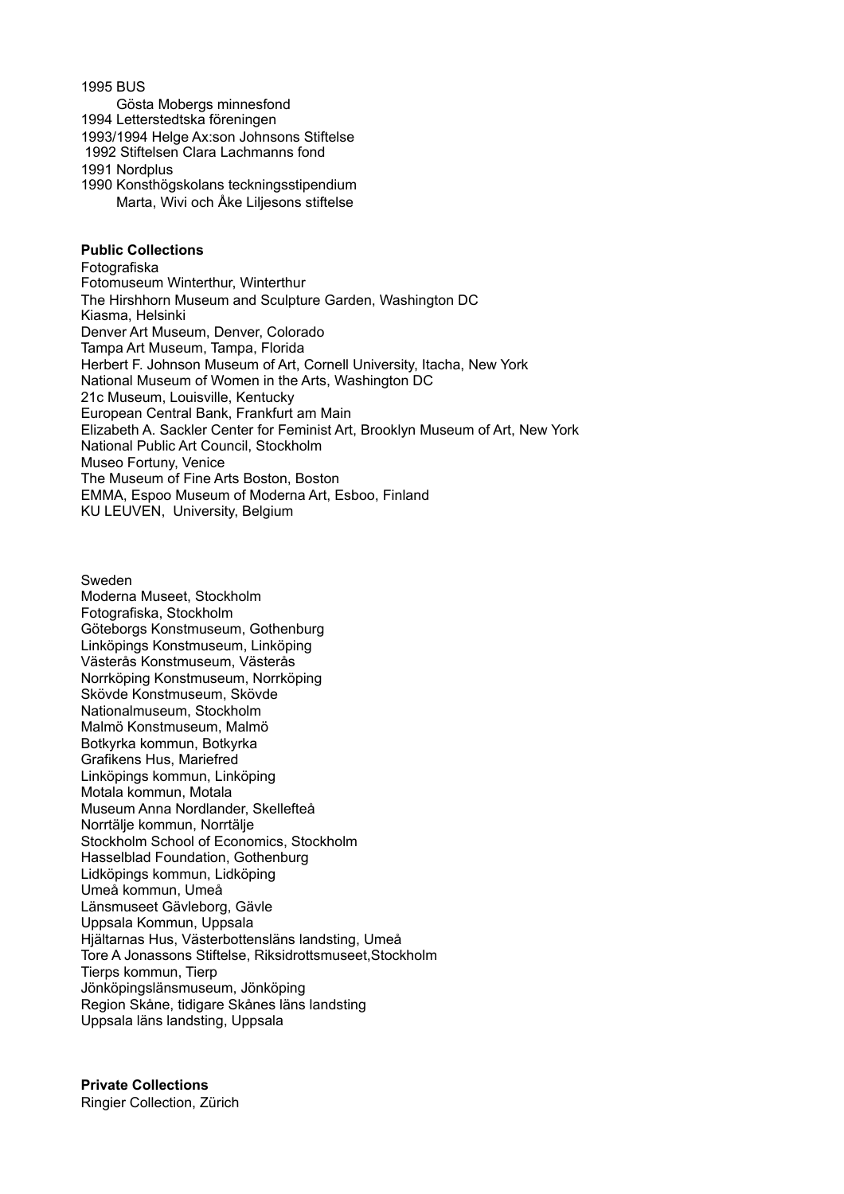1995 BUS

Gösta Mobergs minnesfond

1994 Letterstedtska föreningen

1993/1994 Helge Ax:son Johnsons Stiftelse

1992 Stiftelsen Clara Lachmanns fond

1991 Nordplus

1990 Konsthögskolans teckningsstipendium Marta, Wivi och Åke Liljesons stiftelse

## **Public Collections**

Fotografiska Fotomuseum Winterthur, Winterthur The Hirshhorn Museum and Sculpture Garden, Washington DC Kiasma, Helsinki Denver Art Museum, Denver, Colorado Tampa Art Museum, Tampa, Florida Herbert F. Johnson Museum of Art, Cornell University, Itacha, New York National Museum of Women in the Arts, Washington DC 21c Museum, Louisville, Kentucky European Central Bank, Frankfurt am Main Elizabeth A. Sackler Center for Feminist Art, Brooklyn Museum of Art, New York National Public Art Council, Stockholm Museo Fortuny, Venice The Museum of Fine Arts Boston, Boston EMMA, Espoo Museum of Moderna Art, Esboo, Finland KU LEUVEN, University, Belgium

Sweden Moderna Museet, Stockholm Fotografiska, Stockholm Göteborgs Konstmuseum, Gothenburg Linköpings Konstmuseum, Linköping Västerås Konstmuseum, Västerås Norrköping Konstmuseum, Norrköping Skövde Konstmuseum, Skövde Nationalmuseum, Stockholm Malmö Konstmuseum, Malmö Botkyrka kommun, Botkyrka Grafikens Hus, Mariefred Linköpings kommun, Linköping Motala kommun, Motala Museum Anna Nordlander, Skellefteå Norrtälje kommun, Norrtälje Stockholm School of Economics, Stockholm Hasselblad Foundation, Gothenburg Lidköpings kommun, Lidköping Umeå kommun, Umeå Länsmuseet Gävleborg, Gävle Uppsala Kommun, Uppsala Hjältarnas Hus, Västerbottensläns landsting, Umeå Tore A Jonassons Stiftelse, Riksidrottsmuseet,Stockholm Tierps kommun, Tierp Jönköpingslänsmuseum, Jönköping Region Skåne, tidigare Skånes läns landsting Uppsala läns landsting, Uppsala

**Private Collections** Ringier Collection, Zürich